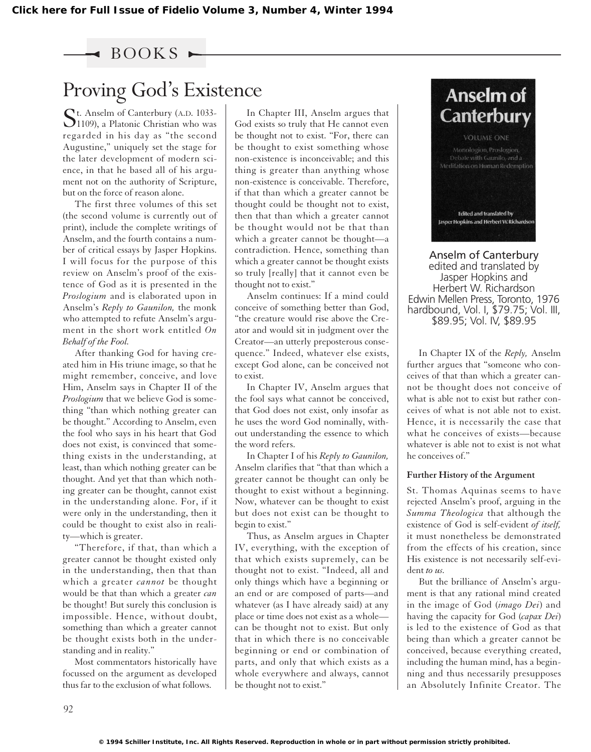## $\triangleleft$  BOOKS  $\triangleright$

## Proving God's Existence

St. Anselm of Canterbury (A.D. 1033-<br>
1109), a Platonic Christian who was regarded in his day as "the second Augustine," uniquely set the stage for the later development of modern science, in that he based all of his argument not on the authority of Scripture, but on the force of reason alone.

The first three volumes of this set (the second volume is currently out of print), include the complete writings of Anselm, and the fourth contains a number of critical essays by Jasper Hopkins. I will focus for the purpose of this review on Anselm's proof of the existence of God as it is presented in the *Proslogium* and is elaborated upon in Anselm's *Reply to Gaunilon,* the monk who attempted to refute Anselm's argument in the short work entitled *On Behalf of the Fool.*

After thanking God for having created him in His triune image, so that he might remember, conceive, and love Him, Anselm says in Chapter II of the *Proslogium* that we believe God is something "than which nothing greater can be thought." According to Anselm, even the fool who says in his heart that God does not exist, is convinced that something exists in the understanding, at least, than which nothing greater can be thought. And yet that than which nothing greater can be thought, cannot exist in the understanding alone. For, if it were only in the understanding, then it could be thought to exist also in reality—which is greater.

"Therefore, if that, than which a greater cannot be thought existed only in the understanding, then that than which a greater *cannot* be thought would be that than which a greater *can* be thought! But surely this conclusion is impossible. Hence, without doubt, something than which a greater cannot be thought exists both in the understanding and in reality."

Most commentators historically have focussed on the argument as developed thus far to the exclusion of what follows.

In Chapter III, Anselm argues that God exists so truly that He cannot even be thought not to exist. "For, there can be thought to exist something whose non-existence is inconceivable; and this thing is greater than anything whose non-existence is conceivable. Therefore, if that than which a greater cannot be thought could be thought not to exist, then that than which a greater cannot be thought would not be that than which a greater cannot be thought—a contradiction. Hence, something than which a greater cannot be thought exists so truly [really] that it cannot even be thought not to exist."

Anselm continues: If a mind could conceive of something better than God, "the creature would rise above the Creator and would sit in judgment over the Creator—an utterly preposterous consequence." Indeed, whatever else exists, except God alone, can be conceived not to exist.

In Chapter IV, Anselm argues that the fool says what cannot be conceived, that God does not exist, only insofar as he uses the word God nominally, without understanding the essence to which the word refers.

In Chapter I of his *Reply to Gaunilon,* Anselm clarifies that "that than which a greater cannot be thought can only be thought to exist without a beginning. Now, whatever can be thought to exist but does not exist can be thought to begin to exist."

Thus, as Anselm argues in Chapter IV, everything, with the exception of that which exists supremely, can be thought not to exist. "Indeed, all and only things which have a beginning or an end or are composed of parts—and whatever (as I have already said) at any place or time does not exist as a whole can be thought not to exist. But only that in which there is no conceivable beginning or end or combination of parts, and only that which exists as a whole everywhere and always, cannot be thought not to exist."



Anselm of Canterbury edited and translated by Jasper Hopkins and Herbert W. Richardson Edwin Mellen Press, Toronto, 1976 hardbound, Vol. I, \$79.75; Vol. III, \$89.95; Vol. IV, \$89.95

In Chapter IX of the *Reply,* Anselm further argues that "someone who conceives of that than which a greater cannot be thought does not conceive of what is able not to exist but rather conceives of what is not able not to exist. Hence, it is necessarily the case that what he conceives of exists—because whatever is able not to exist is not what he conceives of."

## **Further History of the Argument**

St. Thomas Aquinas seems to have rejected Anselm's proof, arguing in the *Summa Theologica* that although the existence of God is self-evident *of itself,* it must nonetheless be demonstrated from the effects of his creation, since His existence is not necessarily self-evident *to us.*

But the brilliance of Anselm's argument is that any rational mind created in the image of God (*imago Dei*) and having the capacity for God (*capax Dei*) is led to the existence of God as that being than which a greater cannot be conceived, because everything created, including the human mind, has a beginning and thus necessarily presupposes an Absolutely Infinite Creator. The